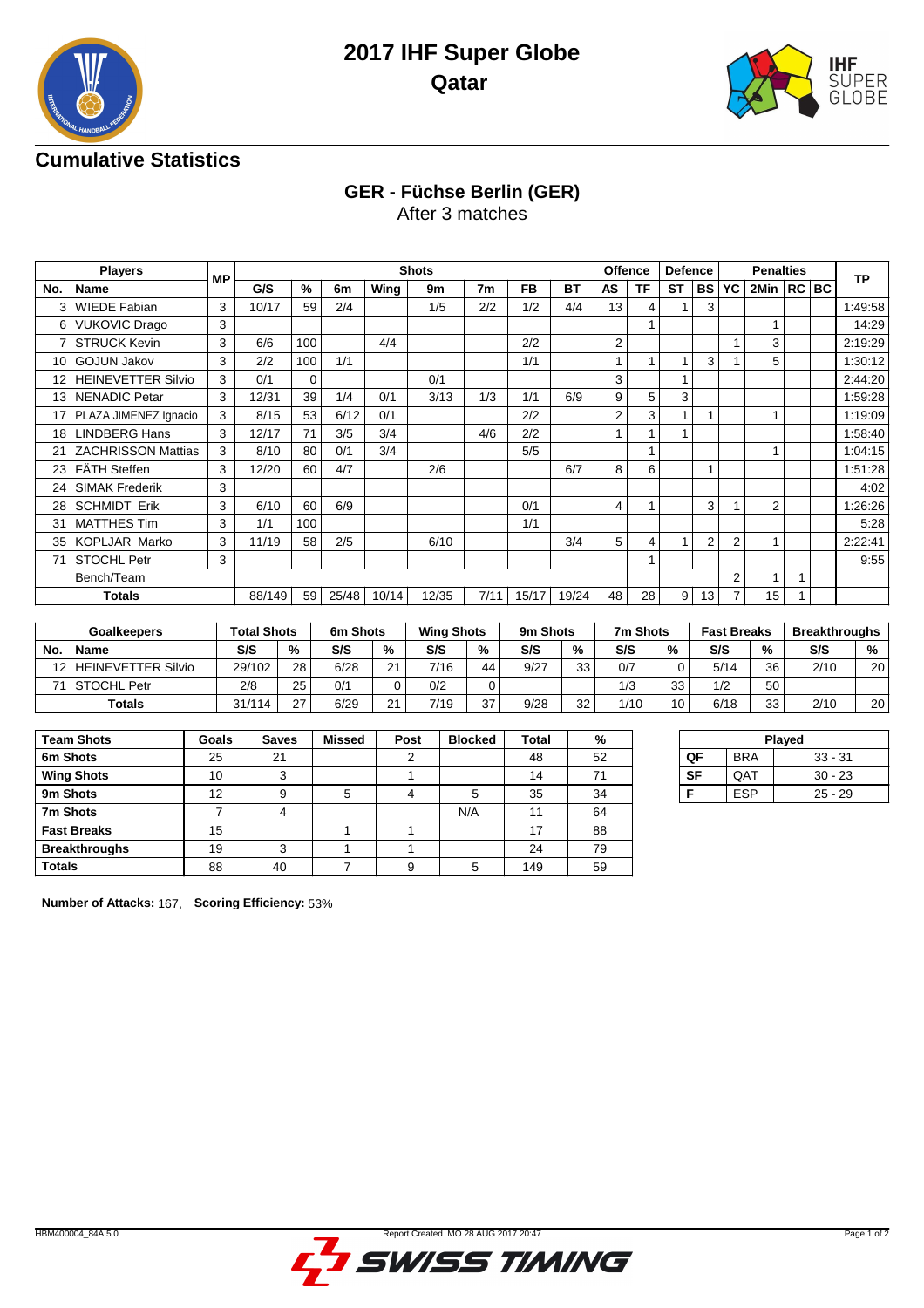



## **Cumulative Statistics**

# **GER - Füchse Berlin (GER)**

After 3 matches

|                 | <b>Players</b>            | МP |        |             |       |       | <b>Shots</b> |                |       |       | Offence        |    | <b>Defence</b> |                |                | <b>Penalties</b> |   | <b>TP</b> |
|-----------------|---------------------------|----|--------|-------------|-------|-------|--------------|----------------|-------|-------|----------------|----|----------------|----------------|----------------|------------------|---|-----------|
| No.             | Name                      |    | G/S    | $\%$        | 6m    | Wing  | 9m           | 7 <sub>m</sub> | FB    | BT    | <b>AS</b>      | TF | <b>ST</b>      | <b>BS</b>      | YC             | 2Min   RC   BC   |   |           |
| 3               | <b>WIEDE Fabian</b>       | 3  | 10/17  | 59          | 2/4   |       | 1/5          | 2/2            | 1/2   | 4/4   | 13             | 4  |                | 3              |                |                  |   | 1:49:58   |
| 6               | <b>VUKOVIC Drago</b>      | 3  |        |             |       |       |              |                |       |       |                |    |                |                |                |                  |   | 14:29     |
|                 | <b>STRUCK Kevin</b>       | 3  | 6/6    | 100         |       | 4/4   |              |                | 2/2   |       | $\overline{2}$ |    |                |                |                | 3                |   | 2:19:29   |
| 10              | <b>GOJUN Jakov</b>        | 3  | 2/2    | 100         | 1/1   |       |              |                | 1/1   |       | 1              |    |                | 3              |                | 5                |   | 1:30:12   |
| 12              | <b>HEINEVETTER Silvio</b> | 3  | 0/1    | $\mathbf 0$ |       |       | 0/1          |                |       |       | 3              |    |                |                |                |                  |   | 2:44:20   |
| 13              | <b>NENADIC Petar</b>      | 3  | 12/31  | 39          | 1/4   | 0/1   | 3/13         | 1/3            | 1/1   | 6/9   | 9              | 5  | 3              |                |                |                  |   | 1:59:28   |
| 17              | PLAZA JIMENEZ Ignacio     | 3  | 8/15   | 53          | 6/12  | 0/1   |              |                | 2/2   |       | $\overline{2}$ | 3  |                |                |                |                  |   | 1:19:09   |
| 18              | <b>LINDBERG Hans</b>      | 3  | 12/17  | 71          | 3/5   | 3/4   |              | 4/6            | 2/2   |       | 1              |    |                |                |                |                  |   | 1:58:40   |
|                 | <b>ZACHRISSON Mattias</b> | 3  | 8/10   | 80          | 0/1   | 3/4   |              |                | 5/5   |       |                |    |                |                |                |                  |   | 1:04:15   |
| 23              | <b>FÄTH Steffen</b>       | 3  | 12/20  | 60          | 4/7   |       | 2/6          |                |       | 6/7   | 8              | 6  |                |                |                |                  |   | 1:51:28   |
| 24              | <b>SIMAK Frederik</b>     | 3  |        |             |       |       |              |                |       |       |                |    |                |                |                |                  |   | 4:02      |
| 28              | <b>SCHMIDT Erik</b>       | 3  | 6/10   | 60          | 6/9   |       |              |                | 0/1   |       | 4              |    |                | 3              |                | $\overline{2}$   |   | 1:26:26   |
| 31              | <b>MATTHES Tim</b>        | 3  | 1/1    | 100         |       |       |              |                | 1/1   |       |                |    |                |                |                |                  |   | 5:28      |
| 35 <sup>1</sup> | KOPLJAR Marko             | 3  | 11/19  | 58          | 2/5   |       | 6/10         |                |       | 3/4   | 5              | 4  |                | $\overline{2}$ | $\overline{2}$ | 4                |   | 2:22:41   |
| 71              | <b>STOCHL Petr</b>        | 3  |        |             |       |       |              |                |       |       |                |    |                |                |                |                  |   | 9:55      |
|                 | Bench/Team                |    |        |             |       |       |              |                |       |       |                |    |                |                | 2              | 1                | 1 |           |
|                 | <b>Totals</b>             |    | 88/149 | 59          | 25/48 | 10/14 | 12/35        | 7/11           | 15/17 | 19/24 | 48             | 28 | 9              | 13             | 7              | 15               |   |           |

|     | <b>Goalkeepers</b>      | <b>Total Shots</b> |    | 6m Shots |          | <b>Wing Shots</b> |    | 9m Shots |                 | 7m Shots |    | <b>Fast Breaks</b> |    | <b>Breakthroughs</b> |                 |
|-----|-------------------------|--------------------|----|----------|----------|-------------------|----|----------|-----------------|----------|----|--------------------|----|----------------------|-----------------|
| No. | <b>Name</b>             | S/S                | %  | S/S      | %        | S/S               | %  | S/S      | %               | S/S      | %  | S/S                | %  | S/S                  | %               |
|     | 12   HEINEVETTER Silvio | 29/102             | 28 | 6/28     | 21       | 7/16              | 44 | 9/27     | 33 <sub>1</sub> | 0/7      | 0  | 5/14               | 36 | 2/10                 | 20              |
|     | STOCHL Petr             | 2/8                | 25 | 0/1      |          | 0/2               |    |          |                 | 1/3      | 33 | 1/2                | 50 |                      |                 |
|     | <b>Totals</b>           | 31/114             | 27 | 6/29     | $\Omega$ | 7/19              | 37 | 9/28     | 32 <sub>1</sub> | 1/10     | 10 | 6/18               | 33 | 2/10                 | 20 <sub>1</sub> |

| <b>Team Shots</b>    | Goals | <b>Saves</b> | <b>Missed</b> | Post | <b>Blocked</b> | Total | %  |
|----------------------|-------|--------------|---------------|------|----------------|-------|----|
| 6m Shots             | 25    | 21           |               | ◠    |                | 48    | 52 |
| <b>Wing Shots</b>    | 10    | 3            |               |      |                | 14    | 71 |
| 9m Shots             | 12    | 9            | 5             |      | 5              | 35    | 34 |
| 7m Shots             |       | 4            |               |      | N/A            |       | 64 |
| <b>Fast Breaks</b>   | 15    |              |               |      |                | 17    | 88 |
| <b>Breakthroughs</b> | 19    | ົ            |               |      |                | 24    | 79 |
| <b>Totals</b>        | 88    | 40           |               |      |                | 149   | 59 |

| Played    |            |           |  |  |  |  |  |  |  |  |  |
|-----------|------------|-----------|--|--|--|--|--|--|--|--|--|
| 0F        | <b>BRA</b> | $33 - 31$ |  |  |  |  |  |  |  |  |  |
| <b>SF</b> | QAT        | $30 - 23$ |  |  |  |  |  |  |  |  |  |
|           | <b>FSP</b> | $25 - 29$ |  |  |  |  |  |  |  |  |  |

**Number of Attacks:** 167, **Scoring Efficiency:** 53%